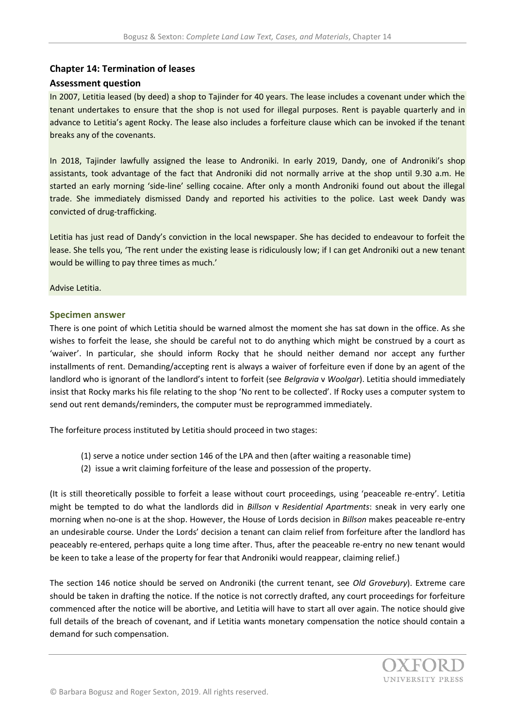## **Chapter 14: Termination of leases**

## **Assessment question**

In 2007, Letitia leased (by deed) a shop to Tajinder for 40 years. The lease includes a covenant under which the tenant undertakes to ensure that the shop is not used for illegal purposes. Rent is payable quarterly and in advance to Letitia's agent Rocky. The lease also includes a forfeiture clause which can be invoked if the tenant breaks any of the covenants.

In 2018, Tajinder lawfully assigned the lease to Androniki. In early 2019, Dandy, one of Androniki's shop assistants, took advantage of the fact that Androniki did not normally arrive at the shop until 9.30 a.m. He started an early morning 'side-line' selling cocaine. After only a month Androniki found out about the illegal trade. She immediately dismissed Dandy and reported his activities to the police. Last week Dandy was convicted of drug-trafficking.

Letitia has just read of Dandy's conviction in the local newspaper. She has decided to endeavour to forfeit the lease. She tells you, 'The rent under the existing lease is ridiculously low; if I can get Androniki out a new tenant would be willing to pay three times as much.'

Advise Letitia.

## **Specimen answer**

There is one point of which Letitia should be warned almost the moment she has sat down in the office. As she wishes to forfeit the lease, she should be careful not to do anything which might be construed by a court as 'waiver'. In particular, she should inform Rocky that he should neither demand nor accept any further installments of rent. Demanding/accepting rent is always a waiver of forfeiture even if done by an agent of the landlord who is ignorant of the landlord's intent to forfeit (see *Belgravia* v *Woolgar*). Letitia should immediately insist that Rocky marks his file relating to the shop 'No rent to be collected'. If Rocky uses a computer system to send out rent demands/reminders, the computer must be reprogrammed immediately.

The forfeiture process instituted by Letitia should proceed in two stages:

- (1) serve a notice under section 146 of the LPA and then (after waiting a reasonable time)
- (2) issue a writ claiming forfeiture of the lease and possession of the property.

(It is still theoretically possible to forfeit a lease without court proceedings, using 'peaceable re-entry'. Letitia might be tempted to do what the landlords did in *Billson* v *Residential Apartments*: sneak in very early one morning when no-one is at the shop. However, the House of Lords decision in *Billson* makes peaceable re-entry an undesirable course. Under the Lords' decision a tenant can claim relief from forfeiture after the landlord has peaceably re-entered, perhaps quite a long time after. Thus, after the peaceable re-entry no new tenant would be keen to take a lease of the property for fear that Androniki would reappear, claiming relief.)

The section 146 notice should be served on Androniki (the current tenant, see *Old Grovebury*). Extreme care should be taken in drafting the notice. If the notice is not correctly drafted, any court proceedings for forfeiture commenced after the notice will be abortive, and Letitia will have to start all over again. The notice should give full details of the breach of covenant, and if Letitia wants monetary compensation the notice should contain a demand for such compensation.